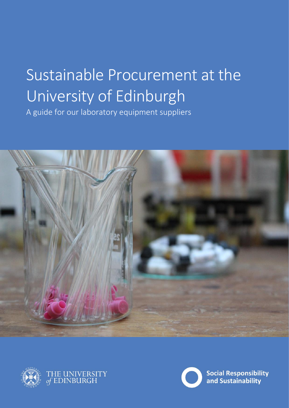# Sustainable Procurement at the University of Edinburgh

A guide for our laboratory equipment suppliers





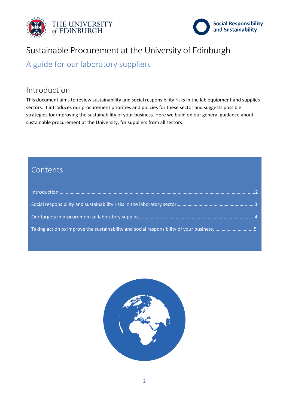



## Sustainable Procurement at the University of Edinburgh

A guide for our laboratory suppliers

## Introduction

This document aims to review sustainability and social responsibility risks in the lab equipment and supplies sectors. It introduces our procurement priorities and policies for these sector and suggests possible strategies for improving the sustainability of your business. Here we build on our general guidance about sustainable procurement at the University, for suppliers from all sectors.

## Contents

| Taking action to improve the sustainability and social responsibility of your business5 |  |
|-----------------------------------------------------------------------------------------|--|

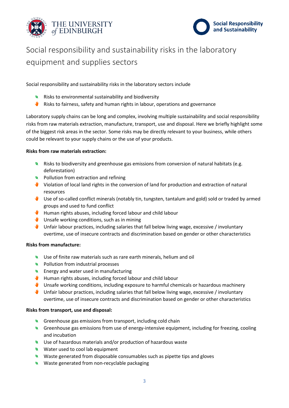



# Social responsibility and sustainability risks in the laboratory equipment and supplies sectors

Social responsibility and sustainability risks in the laboratory sectors include

- Risks to environmental sustainability and biodiversity
- **W** Risks to fairness, safety and human rights in labour, operations and governance

Laboratory supply chains can be long and complex, involving multiple sustainability and social responsibility risks from raw materials extraction, manufacture, transport, use and disposal. Here we briefly highlight some of the biggest risk areas in the sector. Some risks may be directly relevant to your business, while others could be relevant to your supply chains or the use of your products.

#### **Risks from raw materials extraction:**

- Risks to biodiversity and greenhouse gas emissions from conversion of natural habitats (e.g. deforestation)
- Pollution from extraction and refining
- Violation of local land rights in the conversion of land for production and extraction of natural resources
- Use of so-called conflict minerals (notably tin, tungsten, tantalum and gold) sold or traded by armed groups and used to fund conflict
- Human rights abuses, including forced labour and child labour
- Unsafe working conditions, such as in mining
- Unfair labour practices, including salaries that fall below living wage, excessive / involuntary overtime, use of insecure contracts and discrimination based on gender or other characteristics

#### **Risks from manufacture:**

- Use of finite raw materials such as rare earth minerals, helium and oil
- Pollution from industrial processes
- **Energy and water used in manufacturing**
- Human rights abuses, including forced labour and child labour
- Unsafe working conditions, including exposure to harmful chemicals or hazardous machinery
- Unfair labour practices, including salaries that fall below living wage, excessive / involuntary overtime, use of insecure contracts and discrimination based on gender or other characteristics

#### **Risks from transport, use and disposal:**

- Greenhouse gas emissions from transport, including cold chain
- Greenhouse gas emissions from use of energy-intensive equipment, including for freezing, cooling and incubation
- Use of hazardous materials and/or production of hazardous waste
- Water used to cool lab equipment
- Waste generated from disposable consumables such as pipette tips and gloves
- Waste generated from non-recyclable packaging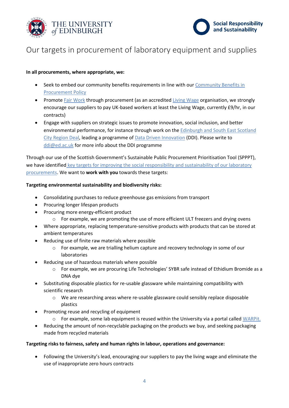



## Our targets in procurement of laboratory equipment and supplies

## **In all procurements, where appropriate, we:**

- Seek to embed our community benefits requirements in line with our [Community Benefits in](https://www.ed.ac.uk/procurement/sustainableprocurement/community-benefits-edinburgh-fair-work)  [Procurement Policy](https://www.ed.ac.uk/procurement/sustainableprocurement/community-benefits-edinburgh-fair-work)
- Promot[e Fair Work](https://www.ed.ac.uk/procurement/sustainableprocurement/community-benefits-edinburgh-fair-work) through procurement (as an accredited [Living Wage](https://scottishlivingwage.org/) organisation, we strongly encourage our suppliers to pay UK-based workers at least the Living Wage, currently £9/hr, in our contracts)
- Engage with suppliers on strategic issues to promote innovation, social inclusion, and better environmental performance, for instance through work on th[e Edinburgh and South East Scotland](https://www.ed.ac.uk/local/city-region-deal)  [City Region Deal,](https://www.ed.ac.uk/local/city-region-deal) leading a programme o[f Data Driven Innovation](https://ddi.ac.uk/) (DDI). Please write to [ddi@ed.ac.uk](mailto:ddi@ed.ac.uk) for more info about the DDI programme

Through our use of the Scottish Government's Sustainable Public Procurement Prioritisation Tool (SPPPT), we have identified key targets for improving the social responsibility and sustainability of our laboratory [procurements.](https://www.ed.ac.uk/procurement/sustainableprocurement/procurement-prioritisation) We want to **work with you** towards these targets:

## **Targeting environmental sustainability and biodiversity risks:**

- Consolidating purchases to reduce greenhouse gas emissions from transport
- Procuring longer lifespan products
- Procuring more energy-efficient product
	- o For example, we are promoting the use of more efficient ULT freezers and drying ovens
- Where appropriate, replacing temperature-sensitive products with products that can be stored at ambient temperatures
- Reducing use of finite raw materials where possible
	- o For example, we are trialling helium capture and recovery technology in some of our laboratories
- Reducing use of hazardous materials where possible
	- o For example, we are procuring Life Technologies' SYBR safe instead of Ethidium Bromide as a DNA dye
- Substituting disposable plastics for re-usable glassware while maintaining compatibility with scientific research
	- o We are researching areas where re-usable glassware could sensibly replace disposable plastics
- Promoting reuse and recycling of equipment
	- o For example, some lab equipment is reused within the University via a portal called [WARPit.](https://www.ed.ac.uk/about/sustainability/staff/reduce-reuse-recycle/join-warp-it)
- Reducing the amount of non-recyclable packaging on the products we buy, and seeking packaging made from recycled materials

## **Targeting risks to fairness, safety and human rights in labour, operations and governance:**

 Following the University's lead, encouraging our suppliers to pay the living wage and eliminate the use of inappropriate zero hours contracts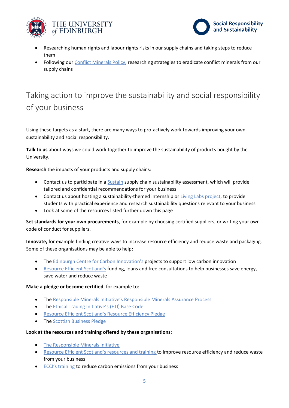



- Researching human rights and labour rights risks in our supply chains and taking steps to reduce them
- Following ou[r Conflict Minerals Policy,](https://www.ed.ac.uk/about/sustainability/what-we-do/supply-chains/initiatives/conflict-minerals) researching strategies to eradicate conflict minerals from our supply chains

# Taking action to improve the sustainability and social responsibility of your business

Using these targets as a start, there are many ways to pro-actively work towards improving your own sustainability and social responsibility.

**Talk to us** about ways we could work together to improve the sustainability of products bought by the University.

**Research** the impacts of your products and supply chains:

- Contact us to participate in a [Sustain](https://www.sustain.ac.uk/) supply chain sustainability assessment, which will provide tailored and confidential recommendations for your business
- Contact us about hosting a sustainability-themed internship o[r Living Labs project,](https://www.ed.ac.uk/about/sustainability/what-we-do/research/initiatives/the-university-as-a-living-lab) to provide students with practical experience and research sustainability questions relevant to your business
- Look at some of the resources listed further down this page

**Set standards for your own procurements**, for example by choosing certified suppliers, or writing your own code of conduct for suppliers.

**Innovate,** for example finding creative ways to increase resource efficiency and reduce waste and packaging. Some of these organisations may be able to help**:**

- The [Edinburgh Centre for Carbon Innovation's](https://edinburghcentre.org/support) projects to support low carbon innovation
- [Resource Efficient Scotland's](https://www.resourceefficientscotland.com/funding) funding, loans and free consultations to help businesses save energy, save water and reduce waste

## **Make a pledge or become certified**, for example to:

- The [Responsible Minerals Initiative's Responsible Minerals Assurance Process](http://www.responsiblemineralsinitiative.org/responsible-minerals-assurance-process/)
- The [Ethical Trading Initiative's](https://ethicaltrade.org/about-eti) (ETI) Base Code
- **[Resource Efficient Scotland's Resource Efficiency Pledge](http://pledge.resourceefficientscotland.com/)**
- The [Scottish Business Pledge](https://scottishbusinesspledge.scot/)

## **Look at the resources and training offered by these organisations:**

- [The Responsible Minerals Initiative](https://www.responsiblemineralsinitiative.org/)
- [Resource Efficient Scotland's resources and traini](https://www.resourceefficientscotland.com/tools-and-guides)ng to improve resource efficiency and reduce waste from your business
- [ECCI's training](https://edinburghcentre.org/expertise/training-and-skills) to reduce carbon emissions from your business